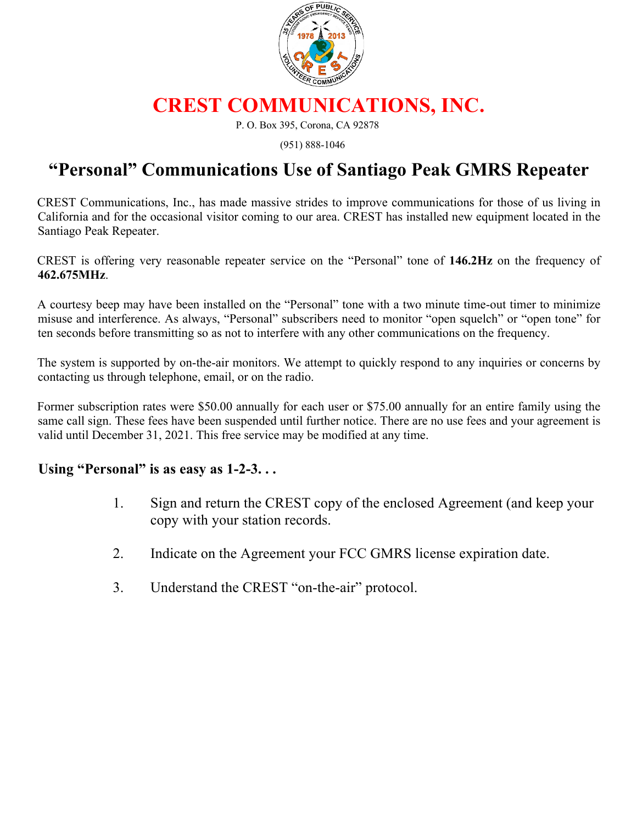

## **CREST COMMUNICATIONS, INC.**

P. O. Box 395, Corona, CA 92878

(951) 888-1046

## **"Personal" Communications Use of Santiago Peak GMRS Repeater**

CREST Communications, Inc., has made massive strides to improve communications for those of us living in California and for the occasional visitor coming to our area. CREST has installed new equipment located in the Santiago Peak Repeater.

CREST is offering very reasonable repeater service on the "Personal" tone of **146.2Hz** on the frequency of **462.675MHz**.

A courtesy beep may have been installed on the "Personal" tone with a two minute time-out timer to minimize misuse and interference. As always, "Personal" subscribers need to monitor "open squelch" or "open tone" for ten seconds before transmitting so as not to interfere with any other communications on the frequency.

The system is supported by on-the-air monitors. We attempt to quickly respond to any inquiries or concerns by contacting us through telephone, email, or on the radio.

Former subscription rates were \$50.00 annually for each user or \$75.00 annually for an entire family using the same call sign. These fees have been suspended until further notice. There are no use fees and your agreement is valid until December 31, 2021. This free service may be modified at any time.

## **Using "Personal" is as easy as 1-2-3. . .**

- 1. Sign and return the CREST copy of the enclosed Agreement (and keep your copy with your station records.
- 2. Indicate on the Agreement your FCC GMRS license expiration date.
- 3. Understand the CREST "on-the-air" protocol.